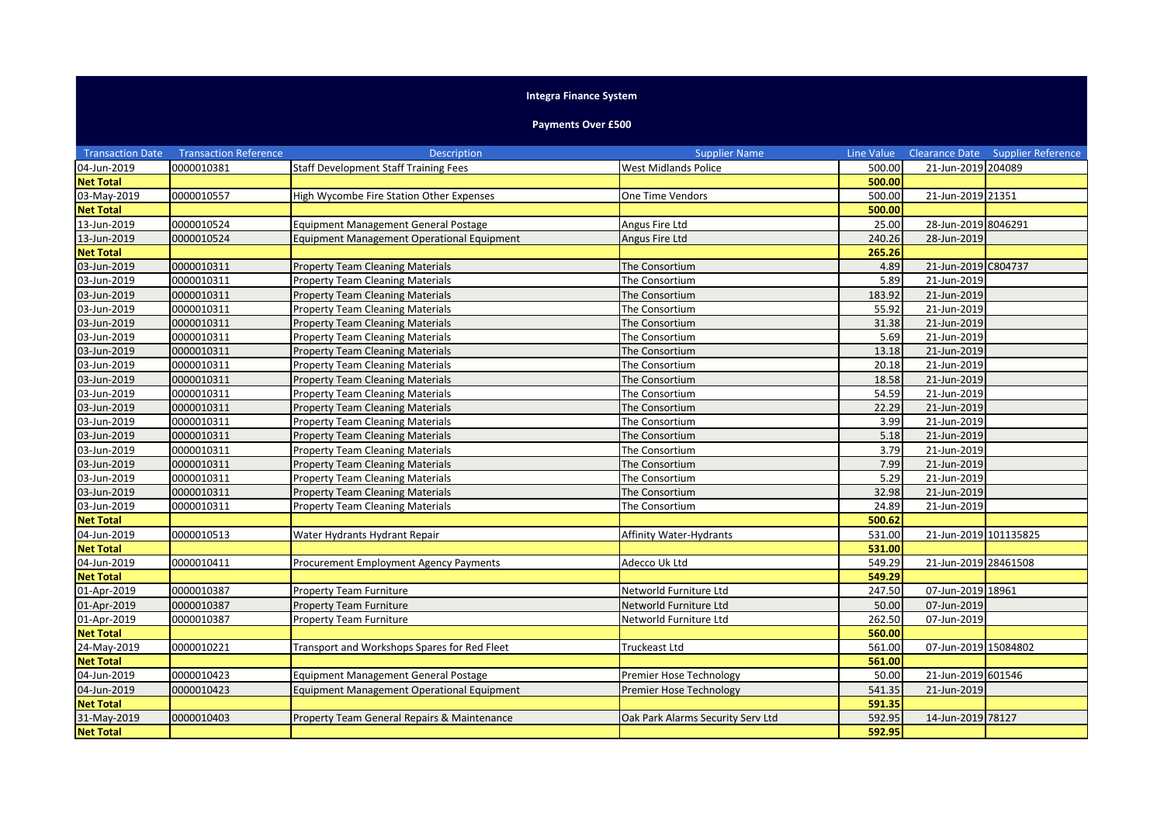## **Integra Finance System**

## **Payments Over £500**

| <b>Transaction Date</b> | <b>Transaction Reference</b> | <b>Description</b>                           | <b>Supplier Name</b>              | Line Value |                       | Clearance Date Supplier Reference |
|-------------------------|------------------------------|----------------------------------------------|-----------------------------------|------------|-----------------------|-----------------------------------|
| 04-Jun-2019             | 0000010381                   | <b>Staff Development Staff Training Fees</b> | <b>West Midlands Police</b>       | 500.00     | 21-Jun-2019 204089    |                                   |
| <b>Net Total</b>        |                              |                                              |                                   | 500.00     |                       |                                   |
| 03-May-2019             | 0000010557                   | High Wycombe Fire Station Other Expenses     | One Time Vendors                  | 500.00     | 21-Jun-2019 21351     |                                   |
| <b>Net Total</b>        |                              |                                              |                                   | 500.00     |                       |                                   |
| 13-Jun-2019             | 0000010524                   | Equipment Management General Postage         | Angus Fire Ltd                    | 25.00      | 28-Jun-2019 8046291   |                                   |
| 13-Jun-2019             | 0000010524                   | Equipment Management Operational Equipment   | Angus Fire Ltd                    | 240.26     | 28-Jun-2019           |                                   |
| <b>Net Total</b>        |                              |                                              |                                   | 265.26     |                       |                                   |
| 03-Jun-2019             | 0000010311                   | <b>Property Team Cleaning Materials</b>      | The Consortium                    | 4.89       | 21-Jun-2019 C804737   |                                   |
| 03-Jun-2019             | 0000010311                   | <b>Property Team Cleaning Materials</b>      | The Consortium                    | 5.89       | 21-Jun-2019           |                                   |
| 03-Jun-2019             | 0000010311                   | <b>Property Team Cleaning Materials</b>      | The Consortium                    | 183.92     | 21-Jun-2019           |                                   |
| 03-Jun-2019             | 0000010311                   | <b>Property Team Cleaning Materials</b>      | The Consortium                    | 55.92      | 21-Jun-2019           |                                   |
| 03-Jun-2019             | 0000010311                   | <b>Property Team Cleaning Materials</b>      | The Consortium                    | 31.38      | 21-Jun-2019           |                                   |
| 03-Jun-2019             | 0000010311                   | <b>Property Team Cleaning Materials</b>      | The Consortium                    | 5.69       | 21-Jun-2019           |                                   |
| 03-Jun-2019             | 0000010311                   | <b>Property Team Cleaning Materials</b>      | The Consortium                    | 13.18      | 21-Jun-2019           |                                   |
| 03-Jun-2019             | 0000010311                   | <b>Property Team Cleaning Materials</b>      | The Consortium                    | 20.18      | 21-Jun-2019           |                                   |
| 03-Jun-2019             | 0000010311                   | <b>Property Team Cleaning Materials</b>      | The Consortium                    | 18.58      | 21-Jun-2019           |                                   |
| 03-Jun-2019             | 0000010311                   | <b>Property Team Cleaning Materials</b>      | The Consortium                    | 54.59      | 21-Jun-2019           |                                   |
| 03-Jun-2019             | 0000010311                   | <b>Property Team Cleaning Materials</b>      | The Consortium                    | 22.29      | 21-Jun-2019           |                                   |
| 03-Jun-2019             | 0000010311                   | <b>Property Team Cleaning Materials</b>      | The Consortium                    | 3.99       | 21-Jun-2019           |                                   |
| 03-Jun-2019             | 0000010311                   | <b>Property Team Cleaning Materials</b>      | The Consortium                    | 5.18       | 21-Jun-2019           |                                   |
| 03-Jun-2019             | 0000010311                   | <b>Property Team Cleaning Materials</b>      | The Consortium                    | 3.79       | 21-Jun-2019           |                                   |
| 03-Jun-2019             | 0000010311                   | <b>Property Team Cleaning Materials</b>      | The Consortium                    | 7.99       | 21-Jun-2019           |                                   |
| 03-Jun-2019             | 0000010311                   | <b>Property Team Cleaning Materials</b>      | The Consortium                    | 5.29       | 21-Jun-2019           |                                   |
| 03-Jun-2019             | 0000010311                   | <b>Property Team Cleaning Materials</b>      | The Consortium                    | 32.98      | 21-Jun-2019           |                                   |
| 03-Jun-2019             | 0000010311                   | <b>Property Team Cleaning Materials</b>      | The Consortium                    | 24.89      | 21-Jun-2019           |                                   |
| <b>Net Total</b>        |                              |                                              |                                   | 500.62     |                       |                                   |
| 04-Jun-2019             | 0000010513                   | Water Hydrants Hydrant Repair                | Affinity Water-Hydrants           | 531.00     | 21-Jun-2019 101135825 |                                   |
| <b>Net Total</b>        |                              |                                              |                                   | 531.00     |                       |                                   |
| 04-Jun-2019             | 0000010411                   | Procurement Employment Agency Payments       | Adecco Uk Ltd                     | 549.29     | 21-Jun-2019 28461508  |                                   |
| <b>Net Total</b>        |                              |                                              |                                   | 549.29     |                       |                                   |
| 01-Apr-2019             | 0000010387                   | <b>Property Team Furniture</b>               | Networld Furniture Ltd            | 247.50     | 07-Jun-2019 18961     |                                   |
| 01-Apr-2019             | 0000010387                   | Property Team Furniture                      | Networld Furniture Ltd            | 50.00      | 07-Jun-2019           |                                   |
| 01-Apr-2019             | 0000010387                   | <b>Property Team Furniture</b>               | Networld Furniture Ltd            | 262.50     | 07-Jun-2019           |                                   |
| <b>Net Total</b>        |                              |                                              |                                   | 560.00     |                       |                                   |
| 24-May-2019             | 0000010221                   | Transport and Workshops Spares for Red Fleet | Truckeast Ltd                     | 561.00     | 07-Jun-2019 15084802  |                                   |
| <b>Net Total</b>        |                              |                                              |                                   | 561.00     |                       |                                   |
| 04-Jun-2019             | 0000010423                   | <b>Equipment Management General Postage</b>  | Premier Hose Technology           | 50.00      | 21-Jun-2019 601546    |                                   |
| 04-Jun-2019             | 0000010423                   | Equipment Management Operational Equipment   | Premier Hose Technology           | 541.35     | 21-Jun-2019           |                                   |
| <b>Net Total</b>        |                              |                                              |                                   | 591.35     |                       |                                   |
| 31-May-2019             | 0000010403                   | Property Team General Repairs & Maintenance  | Oak Park Alarms Security Serv Ltd | 592.95     | 14-Jun-2019 78127     |                                   |
| <b>Net Total</b>        |                              |                                              |                                   | 592.95     |                       |                                   |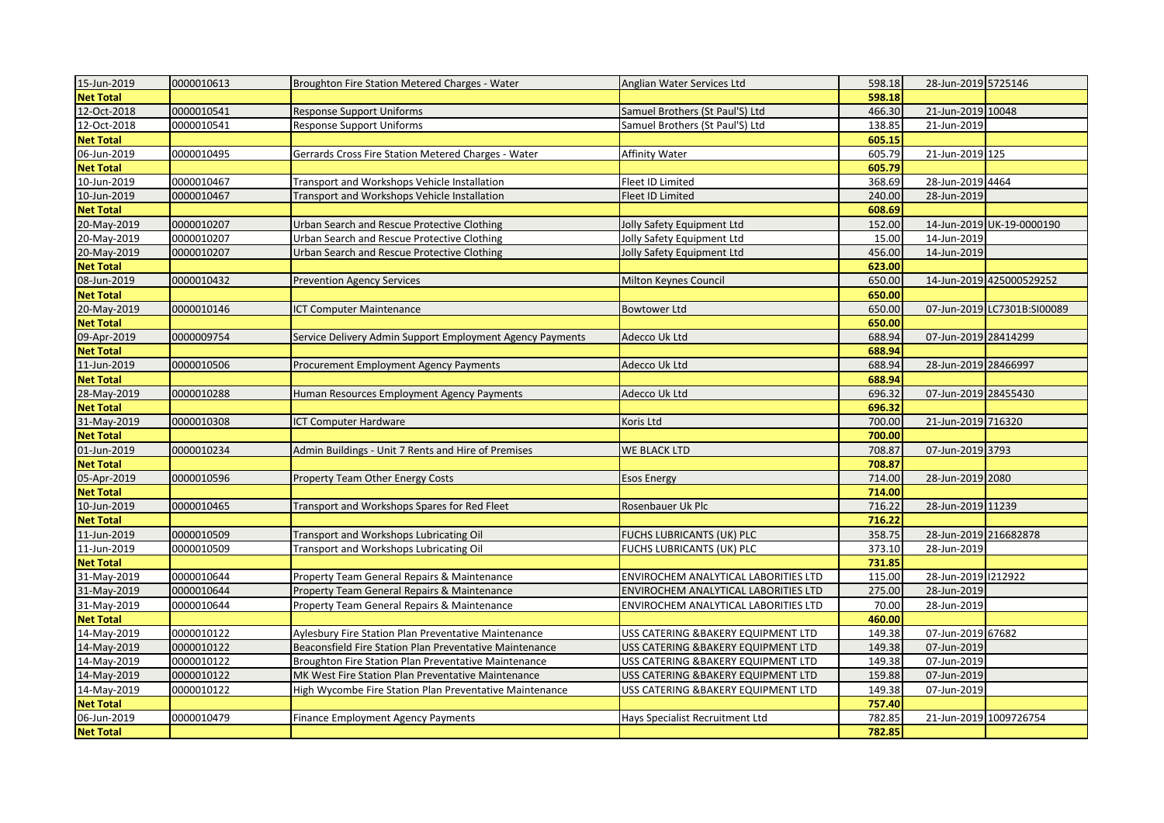| 15-Jun-2019      | 0000010613 | Broughton Fire Station Metered Charges - Water              | Anglian Water Services Ltd           | 598.18 | 28-Jun-2019 5725146   |                             |
|------------------|------------|-------------------------------------------------------------|--------------------------------------|--------|-----------------------|-----------------------------|
| <b>Net Total</b> |            |                                                             |                                      | 598.18 |                       |                             |
| 12-Oct-2018      | 0000010541 | Response Support Uniforms                                   | Samuel Brothers (St Paul'S) Ltd      | 466.30 | 21-Jun-2019 10048     |                             |
| 12-Oct-2018      | 0000010541 | Response Support Uniforms                                   | Samuel Brothers (St Paul'S) Ltd      | 138.85 | 21-Jun-2019           |                             |
| <b>Net Total</b> |            |                                                             |                                      | 605.15 |                       |                             |
| 06-Jun-2019      | 0000010495 | Gerrards Cross Fire Station Metered Charges - Water         | <b>Affinity Water</b>                | 605.79 | 21-Jun-2019 125       |                             |
| <b>Net Total</b> |            |                                                             |                                      | 605.79 |                       |                             |
| 10-Jun-2019      | 0000010467 | Transport and Workshops Vehicle Installation                | Fleet ID Limited                     | 368.69 | 28-Jun-2019 4464      |                             |
| 10-Jun-2019      | 0000010467 | Transport and Workshops Vehicle Installation                | Fleet ID Limited                     | 240.00 | 28-Jun-2019           |                             |
| <b>Net Total</b> |            |                                                             |                                      | 608.69 |                       |                             |
| 20-May-2019      | 0000010207 | Urban Search and Rescue Protective Clothing                 | Jolly Safety Equipment Ltd           | 152.00 |                       | 14-Jun-2019 UK-19-0000190   |
| 20-May-2019      | 0000010207 | Urban Search and Rescue Protective Clothing                 | Jolly Safety Equipment Ltd           | 15.00  | 14-Jun-2019           |                             |
| 20-May-2019      | 0000010207 | Urban Search and Rescue Protective Clothing                 | Jolly Safety Equipment Ltd           | 456.00 | 14-Jun-2019           |                             |
| <b>Net Total</b> |            |                                                             |                                      | 623.00 |                       |                             |
| 08-Jun-2019      | 0000010432 | <b>Prevention Agency Services</b>                           | Milton Keynes Council                | 650.00 |                       | 14-Jun-2019 425000529252    |
| <b>Net Total</b> |            |                                                             |                                      | 650.00 |                       |                             |
| 20-May-2019      | 0000010146 | <b>ICT Computer Maintenance</b>                             | <b>Bowtower Ltd</b>                  | 650.00 |                       | 07-Jun-2019 LC7301B:SI00089 |
| <b>Net Total</b> |            |                                                             |                                      | 650.00 |                       |                             |
| 09-Apr-2019      | 0000009754 | Service Delivery Admin Support Employment Agency Payments   | Adecco Uk Ltd                        | 688.94 | 07-Jun-2019 28414299  |                             |
| <b>Net Total</b> |            |                                                             |                                      | 688.94 |                       |                             |
| 11-Jun-2019      | 0000010506 | Procurement Employment Agency Payments                      | Adecco Uk Ltd                        | 688.94 | 28-Jun-2019 28466997  |                             |
| <b>Net Total</b> |            |                                                             |                                      | 688.94 |                       |                             |
| 28-May-2019      | 0000010288 | Human Resources Employment Agency Payments                  | Adecco Uk Ltd                        | 696.32 | 07-Jun-2019 28455430  |                             |
| <b>Net Total</b> |            |                                                             |                                      | 696.32 |                       |                             |
| 31-May-2019      | 0000010308 | ICT Computer Hardware                                       | Koris Ltd                            | 700.00 | 21-Jun-2019 716320    |                             |
| <b>Net Total</b> |            |                                                             |                                      | 700.00 |                       |                             |
| 01-Jun-2019      | 0000010234 | Admin Buildings - Unit 7 Rents and Hire of Premises         | WE BLACK LTD                         | 708.87 | 07-Jun-2019 3793      |                             |
| <b>Net Total</b> |            |                                                             |                                      | 708.87 |                       |                             |
| 05-Apr-2019      | 0000010596 | <b>Property Team Other Energy Costs</b>                     | <b>Esos Energy</b>                   | 714.00 | 28-Jun-2019 2080      |                             |
| <b>Net Total</b> |            |                                                             |                                      | 714.00 |                       |                             |
| 10-Jun-2019      | 0000010465 | Transport and Workshops Spares for Red Fleet                | Rosenbauer Uk Plc                    | 716.22 | 28-Jun-2019 11239     |                             |
| <b>Net Total</b> |            |                                                             |                                      | 716.22 |                       |                             |
| 11-Jun-2019      | 0000010509 | Transport and Workshops Lubricating Oil                     | FUCHS LUBRICANTS (UK) PLC            | 358.75 | 28-Jun-2019 216682878 |                             |
| 11-Jun-2019      | 0000010509 | Transport and Workshops Lubricating Oil                     | FUCHS LUBRICANTS (UK) PLC            | 373.10 | 28-Jun-2019           |                             |
| <b>Net Total</b> |            |                                                             |                                      | 731.85 |                       |                             |
| 31-May-2019      | 0000010644 | Property Team General Repairs & Maintenance                 | ENVIROCHEM ANALYTICAL LABORITIES LTD | 115.00 | 28-Jun-2019 1212922   |                             |
| 31-May-2019      | 0000010644 | Property Team General Repairs & Maintenance                 | ENVIROCHEM ANALYTICAL LABORITIES LTD | 275.00 | 28-Jun-2019           |                             |
| 31-May-2019      | 0000010644 | Property Team General Repairs & Maintenance                 | ENVIROCHEM ANALYTICAL LABORITIES LTD | 70.00  | 28-Jun-2019           |                             |
| <b>Net Total</b> |            |                                                             |                                      | 460.00 |                       |                             |
| 14-May-2019      | 0000010122 | <b>Aylesbury Fire Station Plan Preventative Maintenance</b> | USS CATERING & BAKERY EQUIPMENT LTD  | 149.38 | 07-Jun-2019 67682     |                             |
| 14-May-2019      | 0000010122 | Beaconsfield Fire Station Plan Preventative Maintenance     | USS CATERING & BAKERY EQUIPMENT LTD  | 149.38 | 07-Jun-2019           |                             |
| 14-May-2019      | 0000010122 | Broughton Fire Station Plan Preventative Maintenance        | USS CATERING & BAKERY EQUIPMENT LTD  | 149.38 | 07-Jun-2019           |                             |
| 14-May-2019      | 0000010122 | MK West Fire Station Plan Preventative Maintenance          | USS CATERING & BAKERY EQUIPMENT LTD  | 159.88 | 07-Jun-2019           |                             |
| 14-May-2019      | 0000010122 | High Wycombe Fire Station Plan Preventative Maintenance     | USS CATERING & BAKERY EQUIPMENT LTD  | 149.38 | 07-Jun-2019           |                             |
| <b>Net Total</b> |            |                                                             |                                      | 757.40 |                       |                             |
| 06-Jun-2019      | 0000010479 | <b>Finance Employment Agency Payments</b>                   | Hays Specialist Recruitment Ltd      | 782.85 |                       | 21-Jun-2019 1009726754      |
| <b>Net Total</b> |            |                                                             |                                      | 782.85 |                       |                             |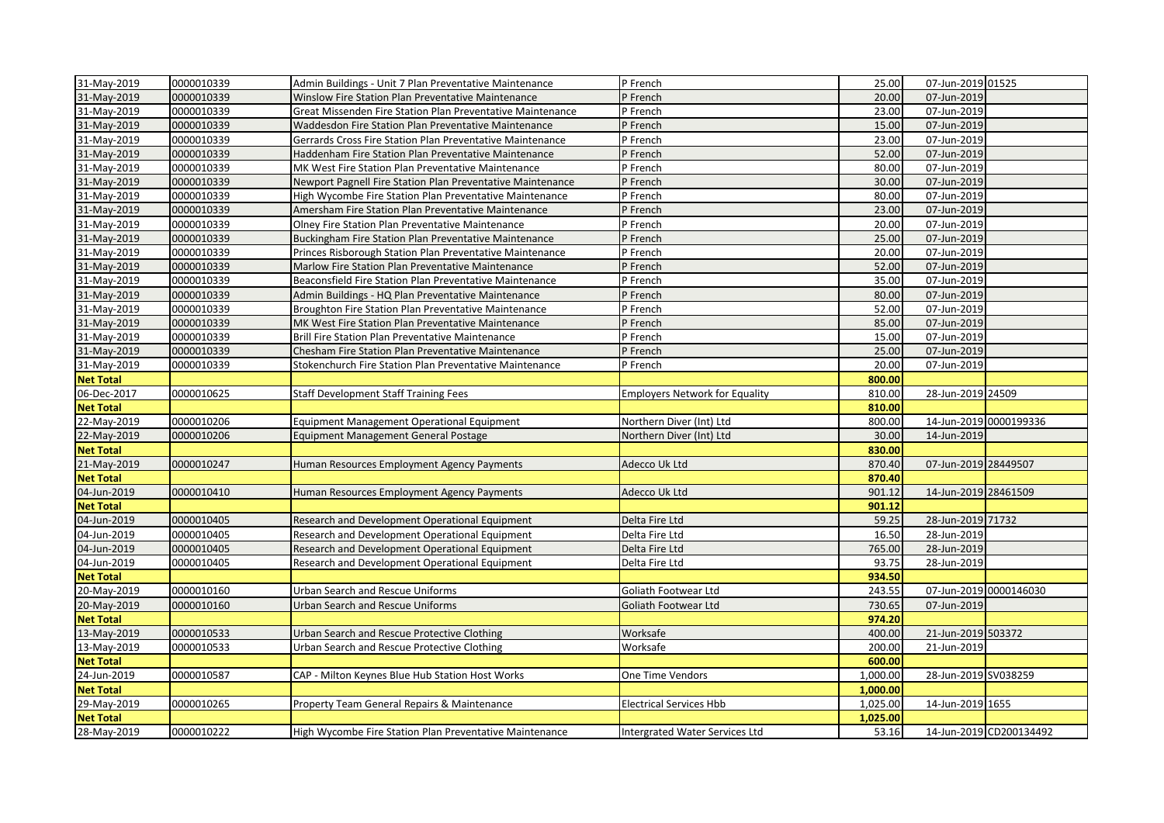| 31-May-2019      | 0000010339 | Admin Buildings - Unit 7 Plan Preventative Maintenance     | P French                              | 25.00    | 07-Jun-2019 01525      |                         |
|------------------|------------|------------------------------------------------------------|---------------------------------------|----------|------------------------|-------------------------|
| 31-May-2019      | 0000010339 | Winslow Fire Station Plan Preventative Maintenance         | P French                              | 20.00    | 07-Jun-2019            |                         |
| 31-May-2019      | 0000010339 | Great Missenden Fire Station Plan Preventative Maintenance | P French                              | 23.00    | 07-Jun-2019            |                         |
| 31-May-2019      | 0000010339 | Waddesdon Fire Station Plan Preventative Maintenance       | P French                              | 15.00    | 07-Jun-2019            |                         |
| 31-May-2019      | 0000010339 | Gerrards Cross Fire Station Plan Preventative Maintenance  | P French                              | 23.00    | 07-Jun-2019            |                         |
| 31-May-2019      | 0000010339 | Haddenham Fire Station Plan Preventative Maintenance       | P French                              | 52.00    | 07-Jun-2019            |                         |
| 31-May-2019      | 0000010339 | MK West Fire Station Plan Preventative Maintenance         | P French                              | 80.00    | 07-Jun-2019            |                         |
| 31-May-2019      | 0000010339 | Newport Pagnell Fire Station Plan Preventative Maintenance | P French                              | 30.00    | 07-Jun-2019            |                         |
| 31-May-2019      | 0000010339 | High Wycombe Fire Station Plan Preventative Maintenance    | P French                              | 80.00    | 07-Jun-2019            |                         |
| 31-May-2019      | 0000010339 | Amersham Fire Station Plan Preventative Maintenance        | P French                              | 23.00    | 07-Jun-2019            |                         |
| 31-May-2019      | 0000010339 | Olney Fire Station Plan Preventative Maintenance           | P French                              | 20.00    | 07-Jun-2019            |                         |
| 31-May-2019      | 0000010339 | Buckingham Fire Station Plan Preventative Maintenance      | P French                              | 25.00    | 07-Jun-2019            |                         |
| 31-May-2019      | 0000010339 | Princes Risborough Station Plan Preventative Maintenance   | P French                              | 20.00    | 07-Jun-2019            |                         |
| 31-May-2019      | 0000010339 | Marlow Fire Station Plan Preventative Maintenance          | P French                              | 52.00    | 07-Jun-2019            |                         |
| 31-May-2019      | 0000010339 | Beaconsfield Fire Station Plan Preventative Maintenance    | P French                              | 35.00    | 07-Jun-2019            |                         |
| 31-May-2019      | 0000010339 | Admin Buildings - HQ Plan Preventative Maintenance         | P French                              | 80.00    | 07-Jun-2019            |                         |
| 31-May-2019      | 0000010339 | Broughton Fire Station Plan Preventative Maintenance       | P French                              | 52.00    | 07-Jun-2019            |                         |
| 31-May-2019      | 0000010339 | MK West Fire Station Plan Preventative Maintenance         | P French                              | 85.00    | 07-Jun-2019            |                         |
| 31-May-2019      | 0000010339 | Brill Fire Station Plan Preventative Maintenance           | P French                              | 15.00    | 07-Jun-2019            |                         |
| 31-May-2019      | 0000010339 | Chesham Fire Station Plan Preventative Maintenance         | P French                              | 25.00    | 07-Jun-2019            |                         |
| 31-May-2019      | 0000010339 | Stokenchurch Fire Station Plan Preventative Maintenance    | P French                              | 20.00    | 07-Jun-2019            |                         |
| <b>Net Total</b> |            |                                                            |                                       | 800.00   |                        |                         |
| 06-Dec-2017      | 0000010625 | <b>Staff Development Staff Training Fees</b>               | <b>Employers Network for Equality</b> | 810.00   | 28-Jun-2019 24509      |                         |
| <b>Net Total</b> |            |                                                            |                                       | 810.00   |                        |                         |
| 22-May-2019      | 0000010206 | <b>Equipment Management Operational Equipment</b>          | Northern Diver (Int) Ltd              | 800.00   | 14-Jun-2019 0000199336 |                         |
| 22-May-2019      | 0000010206 | <b>Equipment Management General Postage</b>                | Northern Diver (Int) Ltd              | 30.00    | 14-Jun-2019            |                         |
| <b>Net Total</b> |            |                                                            |                                       | 830.00   |                        |                         |
| 21-May-2019      | 0000010247 | Human Resources Employment Agency Payments                 | Adecco Uk Ltd                         | 870.40   | 07-Jun-2019 28449507   |                         |
| <b>Net Total</b> |            |                                                            |                                       | 870.40   |                        |                         |
| 04-Jun-2019      | 0000010410 | Human Resources Employment Agency Payments                 | Adecco Uk Ltd                         | 901.12   | 14-Jun-2019 28461509   |                         |
| <b>Net Total</b> |            |                                                            |                                       | 901.12   |                        |                         |
| 04-Jun-2019      | 0000010405 | Research and Development Operational Equipment             | Delta Fire Ltd                        | 59.25    | 28-Jun-2019 71732      |                         |
| 04-Jun-2019      | 0000010405 | Research and Development Operational Equipment             | Delta Fire Ltd                        | 16.50    | 28-Jun-2019            |                         |
| 04-Jun-2019      | 0000010405 | Research and Development Operational Equipment             | Delta Fire Ltd                        | 765.00   | 28-Jun-2019            |                         |
| 04-Jun-2019      | 0000010405 | Research and Development Operational Equipment             | Delta Fire Ltd                        | 93.75    | 28-Jun-2019            |                         |
| <b>Net Total</b> |            |                                                            |                                       | 934.50   |                        |                         |
| 20-May-2019      | 0000010160 | Urban Search and Rescue Uniforms                           | Goliath Footwear Ltd                  | 243.55   | 07-Jun-2019 0000146030 |                         |
| 20-May-2019      | 0000010160 | Urban Search and Rescue Uniforms                           | Goliath Footwear Ltd                  | 730.65   | 07-Jun-2019            |                         |
| <b>Net Total</b> |            |                                                            |                                       | 974.20   |                        |                         |
| 13-May-2019      | 0000010533 | Urban Search and Rescue Protective Clothing                | Worksafe                              | 400.00   | 21-Jun-2019 503372     |                         |
| 13-May-2019      | 0000010533 | Urban Search and Rescue Protective Clothing                | Worksafe                              | 200.00   | 21-Jun-2019            |                         |
| <b>Net Total</b> |            |                                                            |                                       | 600.00   |                        |                         |
| 24-Jun-2019      | 0000010587 | CAP - Milton Keynes Blue Hub Station Host Works            | One Time Vendors                      | 1,000.00 | 28-Jun-2019 SV038259   |                         |
| <b>Net Total</b> |            |                                                            |                                       | 1,000.00 |                        |                         |
| 29-May-2019      | 0000010265 | Property Team General Repairs & Maintenance                | Electrical Services Hbb               | 1,025.00 | 14-Jun-2019 1655       |                         |
| <b>Net Total</b> |            |                                                            |                                       | 1,025.00 |                        |                         |
| 28-May-2019      | 0000010222 | High Wycombe Fire Station Plan Preventative Maintenance    | Intergrated Water Services Ltd        | 53.16    |                        | 14-Jun-2019 CD200134492 |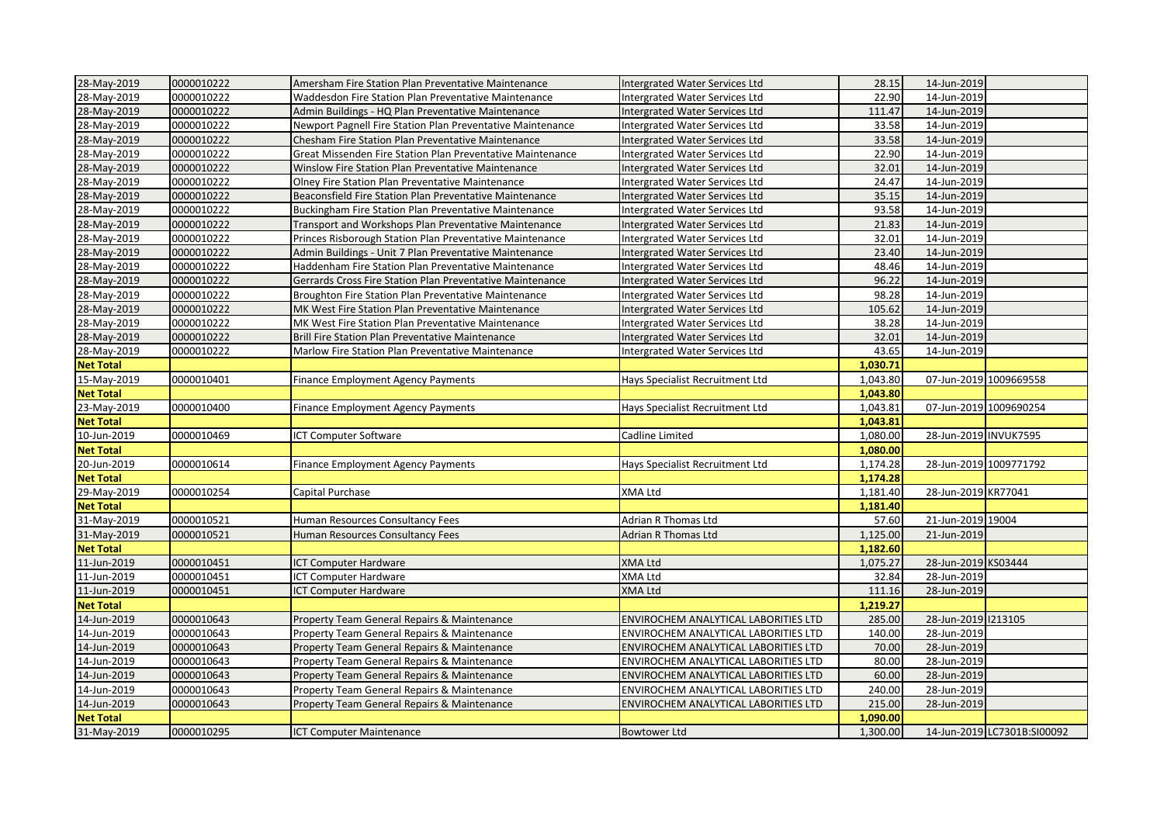| 28-May-2019      | 0000010222 | Amersham Fire Station Plan Preventative Maintenance        | Intergrated Water Services Ltd        | 28.15    | 14-Jun-2019            |                             |
|------------------|------------|------------------------------------------------------------|---------------------------------------|----------|------------------------|-----------------------------|
| 28-May-2019      | 0000010222 | Waddesdon Fire Station Plan Preventative Maintenance       | Intergrated Water Services Ltd        | 22.90    | 14-Jun-2019            |                             |
| 28-May-2019      | 0000010222 | Admin Buildings - HQ Plan Preventative Maintenance         | Intergrated Water Services Ltd        | 111.47   | 14-Jun-2019            |                             |
| 28-May-2019      | 0000010222 | Newport Pagnell Fire Station Plan Preventative Maintenance | Intergrated Water Services Ltd        | 33.58    | 14-Jun-2019            |                             |
| 28-May-2019      | 0000010222 | Chesham Fire Station Plan Preventative Maintenance         | <b>Intergrated Water Services Ltd</b> | 33.58    | 14-Jun-2019            |                             |
| 28-May-2019      | 0000010222 | Great Missenden Fire Station Plan Preventative Maintenance | Intergrated Water Services Ltd        | 22.90    | 14-Jun-2019            |                             |
| 28-May-2019      | 0000010222 | Winslow Fire Station Plan Preventative Maintenance         | Intergrated Water Services Ltd        | 32.01    | 14-Jun-2019            |                             |
| 28-May-2019      | 0000010222 | Olney Fire Station Plan Preventative Maintenance           | Intergrated Water Services Ltd        | 24.47    | 14-Jun-2019            |                             |
| 28-May-2019      | 0000010222 | Beaconsfield Fire Station Plan Preventative Maintenance    | Intergrated Water Services Ltd        | 35.15    | 14-Jun-2019            |                             |
| 28-May-2019      | 0000010222 | Buckingham Fire Station Plan Preventative Maintenance      | Intergrated Water Services Ltd        | 93.58    | 14-Jun-2019            |                             |
| 28-May-2019      | 0000010222 | Transport and Workshops Plan Preventative Maintenance      | Intergrated Water Services Ltd        | 21.83    | 14-Jun-2019            |                             |
| 28-May-2019      | 0000010222 | Princes Risborough Station Plan Preventative Maintenance   | Intergrated Water Services Ltd        | 32.01    | 14-Jun-2019            |                             |
| 28-May-2019      | 0000010222 | Admin Buildings - Unit 7 Plan Preventative Maintenance     | Intergrated Water Services Ltd        | 23.40    | 14-Jun-2019            |                             |
| 28-May-2019      | 0000010222 | Haddenham Fire Station Plan Preventative Maintenance       | Intergrated Water Services Ltd        | 48.46    | 14-Jun-2019            |                             |
| 28-May-2019      | 0000010222 | Gerrards Cross Fire Station Plan Preventative Maintenance  | Intergrated Water Services Ltd        | 96.22    | 14-Jun-2019            |                             |
| 28-May-2019      | 0000010222 | Broughton Fire Station Plan Preventative Maintenance       | Intergrated Water Services Ltd        | 98.28    | 14-Jun-2019            |                             |
| 28-May-2019      | 0000010222 | MK West Fire Station Plan Preventative Maintenance         | Intergrated Water Services Ltd        | 105.62   | 14-Jun-2019            |                             |
| 28-May-2019      | 0000010222 | MK West Fire Station Plan Preventative Maintenance         | Intergrated Water Services Ltd        | 38.28    | 14-Jun-2019            |                             |
| 28-May-2019      | 0000010222 | Brill Fire Station Plan Preventative Maintenance           | Intergrated Water Services Ltd        | 32.01    | 14-Jun-2019            |                             |
| 28-May-2019      | 0000010222 | Marlow Fire Station Plan Preventative Maintenance          | Intergrated Water Services Ltd        | 43.65    | 14-Jun-2019            |                             |
| <b>Net Total</b> |            |                                                            |                                       | 1,030.71 |                        |                             |
| 15-May-2019      | 0000010401 | Finance Employment Agency Payments                         | Hays Specialist Recruitment Ltd       | 1,043.80 | 07-Jun-2019 1009669558 |                             |
| <b>Net Total</b> |            |                                                            |                                       | 1,043.80 |                        |                             |
| 23-May-2019      | 0000010400 | Finance Employment Agency Payments                         | Hays Specialist Recruitment Ltd       | 1,043.81 | 07-Jun-2019 1009690254 |                             |
| <b>Net Total</b> |            |                                                            |                                       | 1,043.81 |                        |                             |
| 10-Jun-2019      | 0000010469 | ICT Computer Software                                      | Cadline Limited                       | 1,080.00 | 28-Jun-2019 INVUK7595  |                             |
| <b>Net Total</b> |            |                                                            |                                       | 1,080.00 |                        |                             |
| 20-Jun-2019      | 0000010614 | <b>Finance Employment Agency Payments</b>                  | Hays Specialist Recruitment Ltd       | 1,174.28 |                        | 28-Jun-2019 1009771792      |
| <b>Net Total</b> |            |                                                            |                                       | 1,174.28 |                        |                             |
| 29-May-2019      | 0000010254 | Capital Purchase                                           | XMA Ltd                               | 1,181.40 | 28-Jun-2019 KR77041    |                             |
| <b>Net Total</b> |            |                                                            |                                       | 1,181.40 |                        |                             |
| 31-May-2019      | 0000010521 | Human Resources Consultancy Fees                           | Adrian R Thomas Ltd                   | 57.60    | 21-Jun-2019 19004      |                             |
| 31-May-2019      | 0000010521 | Human Resources Consultancy Fees                           | <b>Adrian R Thomas Ltd</b>            | 1,125.00 | 21-Jun-2019            |                             |
| <b>Net Total</b> |            |                                                            |                                       | 1,182.60 |                        |                             |
| 11-Jun-2019      | 0000010451 | ICT Computer Hardware                                      | XMA Ltd                               | 1,075.27 | 28-Jun-2019 KS03444    |                             |
| 11-Jun-2019      | 0000010451 | ICT Computer Hardware                                      | XMA Ltd                               | 32.84    | 28-Jun-2019            |                             |
| 11-Jun-2019      | 0000010451 | ICT Computer Hardware                                      | <b>XMA Ltd</b>                        | 111.16   | 28-Jun-2019            |                             |
| <b>Net Total</b> |            |                                                            |                                       | 1,219.27 |                        |                             |
| 14-Jun-2019      | 0000010643 | Property Team General Repairs & Maintenance                | ENVIROCHEM ANALYTICAL LABORITIES LTD  | 285.00   | 28-Jun-2019 1213105    |                             |
| 14-Jun-2019      | 0000010643 | Property Team General Repairs & Maintenance                | ENVIROCHEM ANALYTICAL LABORITIES LTD  | 140.00   | 28-Jun-2019            |                             |
| 14-Jun-2019      | 0000010643 | Property Team General Repairs & Maintenance                | ENVIROCHEM ANALYTICAL LABORITIES LTD  | 70.00    | 28-Jun-2019            |                             |
| 14-Jun-2019      | 0000010643 | Property Team General Repairs & Maintenance                | ENVIROCHEM ANALYTICAL LABORITIES LTD  | 80.00    | 28-Jun-2019            |                             |
| 14-Jun-2019      | 0000010643 | Property Team General Repairs & Maintenance                | ENVIROCHEM ANALYTICAL LABORITIES LTD  | 60.00    | 28-Jun-2019            |                             |
| 14-Jun-2019      | 0000010643 | Property Team General Repairs & Maintenance                | ENVIROCHEM ANALYTICAL LABORITIES LTD  | 240.00   | 28-Jun-2019            |                             |
| 14-Jun-2019      | 0000010643 | Property Team General Repairs & Maintenance                | ENVIROCHEM ANALYTICAL LABORITIES LTD  | 215.00   | 28-Jun-2019            |                             |
| <b>Net Total</b> |            |                                                            |                                       | 1.090.00 |                        |                             |
| 31-May-2019      | 0000010295 | <b>ICT Computer Maintenance</b>                            | <b>Bowtower Ltd</b>                   | 1,300.00 |                        | 14-Jun-2019 LC7301B:SI00092 |
|                  |            |                                                            |                                       |          |                        |                             |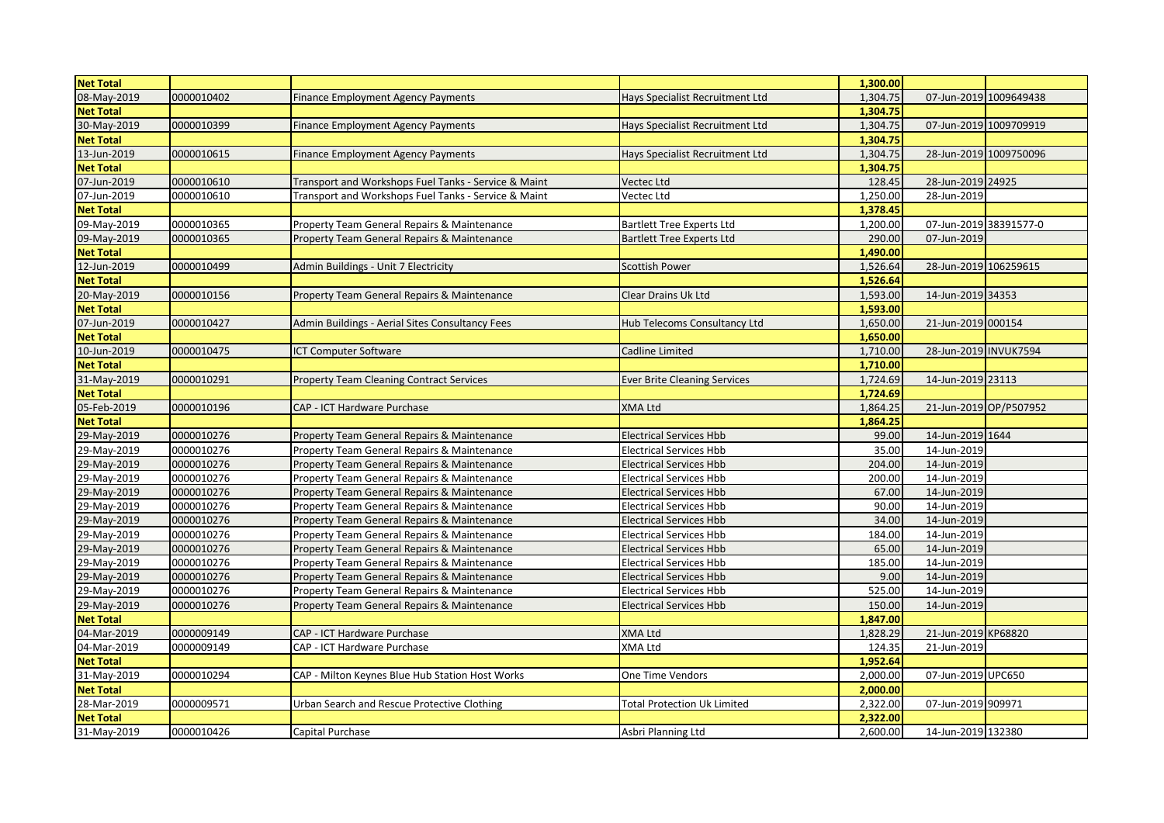| <b>Net Total</b> |            |                                                      |                                     | 1,300.00 |                        |                        |
|------------------|------------|------------------------------------------------------|-------------------------------------|----------|------------------------|------------------------|
| 08-May-2019      | 0000010402 | <b>Finance Employment Agency Payments</b>            | Hays Specialist Recruitment Ltd     | 1,304.75 |                        | 07-Jun-2019 1009649438 |
| <b>Net Total</b> |            |                                                      |                                     | 1,304.75 |                        |                        |
| 30-May-2019      | 0000010399 | <b>Finance Employment Agency Payments</b>            | Hays Specialist Recruitment Ltd     | 1,304.75 |                        | 07-Jun-2019 1009709919 |
| <b>Net Total</b> |            |                                                      |                                     | 1,304.75 |                        |                        |
| 13-Jun-2019      | 0000010615 | Finance Employment Agency Payments                   | Hays Specialist Recruitment Ltd     | 1,304.75 |                        | 28-Jun-2019 1009750096 |
| <b>Net Total</b> |            |                                                      |                                     | 1,304.75 |                        |                        |
| 07-Jun-2019      | 0000010610 | Transport and Workshops Fuel Tanks - Service & Maint | Vectec Ltd                          | 128.45   | 28-Jun-2019 24925      |                        |
| 07-Jun-2019      | 0000010610 | Transport and Workshops Fuel Tanks - Service & Maint | Vectec Ltd                          | 1,250.00 | 28-Jun-2019            |                        |
| <b>Net Total</b> |            |                                                      |                                     | 1,378.45 |                        |                        |
| 09-May-2019      | 0000010365 | Property Team General Repairs & Maintenance          | <b>Bartlett Tree Experts Ltd</b>    | 1,200.00 | 07-Jun-2019 38391577-0 |                        |
| 09-May-2019      | 0000010365 | Property Team General Repairs & Maintenance          | <b>Bartlett Tree Experts Ltd</b>    | 290.00   | 07-Jun-2019            |                        |
| <b>Net Total</b> |            |                                                      |                                     | 1,490.00 |                        |                        |
| 12-Jun-2019      | 0000010499 | Admin Buildings - Unit 7 Electricity                 | Scottish Power                      | 1,526.64 | 28-Jun-2019 106259615  |                        |
| <b>Net Total</b> |            |                                                      |                                     | 1,526.64 |                        |                        |
| 20-May-2019      | 0000010156 | Property Team General Repairs & Maintenance          | Clear Drains Uk Ltd                 | 1,593.00 | 14-Jun-2019 34353      |                        |
| <b>Net Total</b> |            |                                                      |                                     | 1,593.00 |                        |                        |
| 07-Jun-2019      | 0000010427 | Admin Buildings - Aerial Sites Consultancy Fees      | Hub Telecoms Consultancy Ltd        | 1,650.00 | 21-Jun-2019 000154     |                        |
| <b>Net Total</b> |            |                                                      |                                     | 1,650.00 |                        |                        |
| 10-Jun-2019      | 0000010475 | <b>ICT Computer Software</b>                         | Cadline Limited                     | 1,710.00 | 28-Jun-2019 INVUK7594  |                        |
| <b>Net Total</b> |            |                                                      |                                     | 1,710.00 |                        |                        |
| 31-May-2019      | 0000010291 | <b>Property Team Cleaning Contract Services</b>      | <b>Ever Brite Cleaning Services</b> | 1,724.69 | 14-Jun-2019 23113      |                        |
| <b>Net Total</b> |            |                                                      |                                     | 1,724.69 |                        |                        |
| 05-Feb-2019      | 0000010196 | CAP - ICT Hardware Purchase                          | <b>XMA Ltd</b>                      | 1,864.25 | 21-Jun-2019 OP/P507952 |                        |
| <b>Net Total</b> |            |                                                      |                                     | 1,864.25 |                        |                        |
| 29-May-2019      | 0000010276 | Property Team General Repairs & Maintenance          | Electrical Services Hbb             | 99.00    | 14-Jun-2019 1644       |                        |
| 29-May-2019      | 0000010276 | Property Team General Repairs & Maintenance          | <b>Electrical Services Hbb</b>      | 35.00    | 14-Jun-2019            |                        |
| 29-May-2019      | 0000010276 | Property Team General Repairs & Maintenance          | <b>Electrical Services Hbb</b>      | 204.00   | 14-Jun-2019            |                        |
| 29-May-2019      | 0000010276 | Property Team General Repairs & Maintenance          | <b>Electrical Services Hbb</b>      | 200.00   | 14-Jun-2019            |                        |
| 29-May-2019      | 0000010276 | Property Team General Repairs & Maintenance          | <b>Electrical Services Hbb</b>      | 67.00    | 14-Jun-2019            |                        |
| 29-May-2019      | 0000010276 | Property Team General Repairs & Maintenance          | <b>Electrical Services Hbb</b>      | 90.00    | 14-Jun-2019            |                        |
| 29-May-2019      | 0000010276 | Property Team General Repairs & Maintenance          | <b>Electrical Services Hbb</b>      | 34.00    | 14-Jun-2019            |                        |
| 29-May-2019      | 0000010276 | Property Team General Repairs & Maintenance          | <b>Electrical Services Hbb</b>      | 184.00   | 14-Jun-2019            |                        |
| 29-May-2019      | 0000010276 | Property Team General Repairs & Maintenance          | Electrical Services Hbb             | 65.00    | 14-Jun-2019            |                        |
| 29-May-2019      | 0000010276 | Property Team General Repairs & Maintenance          | Electrical Services Hbb             | 185.00   | 14-Jun-2019            |                        |
| 29-May-2019      | 0000010276 | Property Team General Repairs & Maintenance          | <b>Electrical Services Hbb</b>      | 9.00     | 14-Jun-2019            |                        |
| 29-May-2019      | 0000010276 | Property Team General Repairs & Maintenance          | <b>Electrical Services Hbb</b>      | 525.00   | 14-Jun-2019            |                        |
| 29-May-2019      | 0000010276 | Property Team General Repairs & Maintenance          | <b>Electrical Services Hbb</b>      | 150.00   | 14-Jun-2019            |                        |
| <b>Net Total</b> |            |                                                      |                                     | 1,847.00 |                        |                        |
| 04-Mar-2019      | 0000009149 | CAP - ICT Hardware Purchase                          | <b>XMA Ltd</b>                      | 1,828.29 | 21-Jun-2019 KP68820    |                        |
| 04-Mar-2019      | 0000009149 | CAP - ICT Hardware Purchase                          | XMA Ltd                             | 124.35   | 21-Jun-2019            |                        |
| <b>Net Total</b> |            |                                                      |                                     | 1,952.64 |                        |                        |
| 31-May-2019      | 0000010294 | CAP - Milton Keynes Blue Hub Station Host Works      | One Time Vendors                    | 2,000.00 | 07-Jun-2019 UPC650     |                        |
| <b>Net Total</b> |            |                                                      |                                     | 2,000.00 |                        |                        |
| 28-Mar-2019      | 0000009571 | Urban Search and Rescue Protective Clothing          | <b>Total Protection Uk Limited</b>  | 2,322.00 | 07-Jun-2019 909971     |                        |
| <b>Net Total</b> |            |                                                      |                                     | 2,322.00 |                        |                        |
| 31-May-2019      | 0000010426 | Capital Purchase                                     | Asbri Planning Ltd                  | 2,600.00 | 14-Jun-2019 132380     |                        |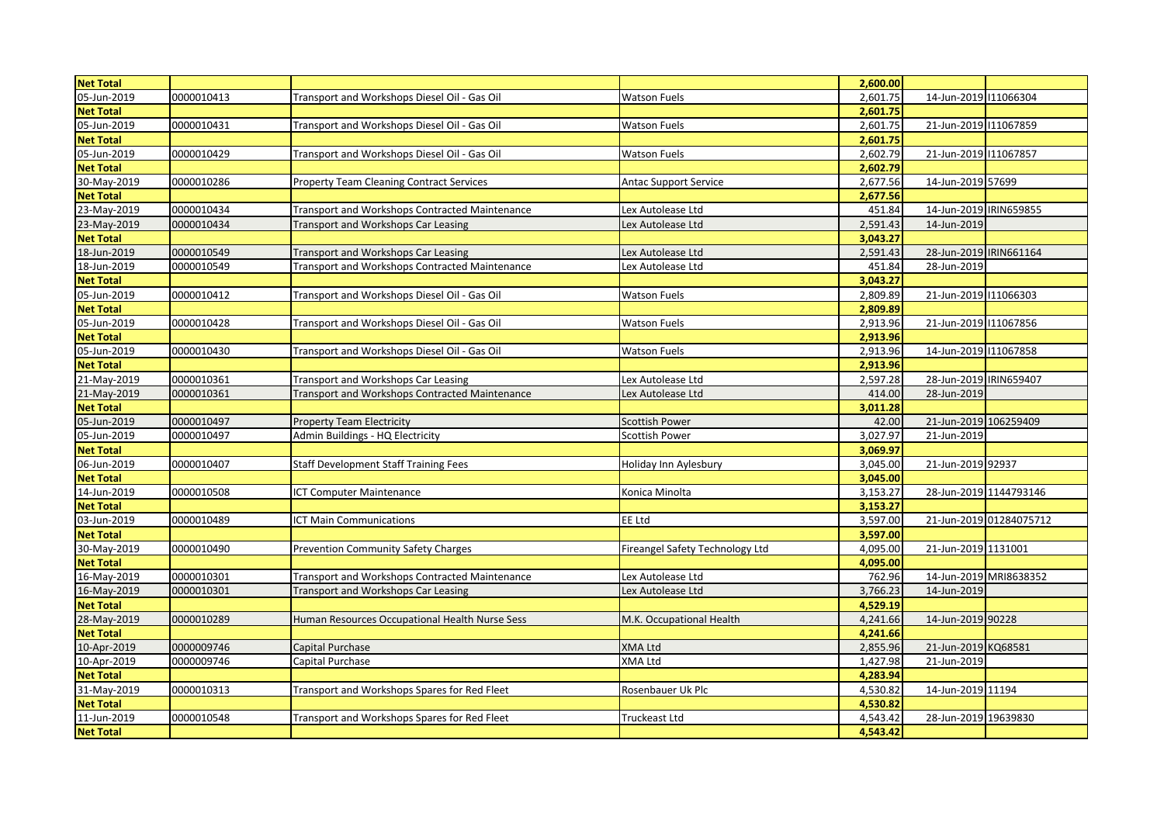| <b>Net Total</b> |            |                                                       |                                 | 2,600.00 |                        |                         |
|------------------|------------|-------------------------------------------------------|---------------------------------|----------|------------------------|-------------------------|
| 05-Jun-2019      | 0000010413 | Transport and Workshops Diesel Oil - Gas Oil          | <b>Watson Fuels</b>             | 2,601.75 | 14-Jun-2019 11066304   |                         |
| <b>Net Total</b> |            |                                                       |                                 | 2,601.75 |                        |                         |
| 05-Jun-2019      | 0000010431 | Transport and Workshops Diesel Oil - Gas Oil          | <b>Watson Fuels</b>             | 2,601.75 | 21-Jun-2019 11067859   |                         |
| <b>Net Total</b> |            |                                                       |                                 | 2,601.75 |                        |                         |
| 05-Jun-2019      | 0000010429 | Transport and Workshops Diesel Oil - Gas Oil          | Watson Fuels                    | 2,602.79 | 21-Jun-2019 11067857   |                         |
| <b>Net Total</b> |            |                                                       |                                 | 2,602.79 |                        |                         |
| 30-May-2019      | 0000010286 | <b>Property Team Cleaning Contract Services</b>       | <b>Antac Support Service</b>    | 2,677.56 | 14-Jun-2019 57699      |                         |
| <b>Net Total</b> |            |                                                       |                                 | 2,677.56 |                        |                         |
| 23-May-2019      | 0000010434 | <b>Transport and Workshops Contracted Maintenance</b> | Lex Autolease Ltd               | 451.84   | 14-Jun-2019 IRIN659855 |                         |
| 23-May-2019      | 0000010434 | Transport and Workshops Car Leasing                   | Lex Autolease Ltd               | 2,591.43 | 14-Jun-2019            |                         |
| <b>Net Total</b> |            |                                                       |                                 | 3,043.27 |                        |                         |
| 18-Jun-2019      | 0000010549 | Transport and Workshops Car Leasing                   | Lex Autolease Ltd               | 2,591.43 | 28-Jun-2019 IRIN661164 |                         |
| 18-Jun-2019      | 0000010549 | Transport and Workshops Contracted Maintenance        | Lex Autolease Ltd               | 451.84   | 28-Jun-2019            |                         |
| <b>Net Total</b> |            |                                                       |                                 | 3,043.27 |                        |                         |
| 05-Jun-2019      | 0000010412 | Transport and Workshops Diesel Oil - Gas Oil          | <b>Watson Fuels</b>             | 2,809.89 | 21-Jun-2019 11066303   |                         |
| <b>Net Total</b> |            |                                                       |                                 | 2,809.89 |                        |                         |
| 05-Jun-2019      | 0000010428 | Transport and Workshops Diesel Oil - Gas Oil          | <b>Watson Fuels</b>             | 2,913.96 | 21-Jun-2019 111067856  |                         |
| <b>Net Total</b> |            |                                                       |                                 | 2,913.96 |                        |                         |
| 05-Jun-2019      | 0000010430 | Transport and Workshops Diesel Oil - Gas Oil          | <b>Watson Fuels</b>             | 2,913.96 | 14-Jun-2019 11067858   |                         |
| <b>Net Total</b> |            |                                                       |                                 | 2,913.96 |                        |                         |
| 21-May-2019      | 0000010361 | Transport and Workshops Car Leasing                   | Lex Autolease Ltd               | 2,597.28 | 28-Jun-2019 IRIN659407 |                         |
| 21-May-2019      | 0000010361 | Transport and Workshops Contracted Maintenance        | Lex Autolease Ltd               | 414.00   | 28-Jun-2019            |                         |
| <b>Net Total</b> |            |                                                       |                                 | 3,011.28 |                        |                         |
| 05-Jun-2019      | 0000010497 | <b>Property Team Electricity</b>                      | Scottish Power                  | 42.00    | 21-Jun-2019 106259409  |                         |
| 05-Jun-2019      | 0000010497 | Admin Buildings - HQ Electricity                      | Scottish Power                  | 3,027.97 | 21-Jun-2019            |                         |
| <b>Net Total</b> |            |                                                       |                                 | 3,069.97 |                        |                         |
| 06-Jun-2019      | 0000010407 | <b>Staff Development Staff Training Fees</b>          | Holiday Inn Aylesbury           | 3,045.00 | 21-Jun-2019 92937      |                         |
| <b>Net Total</b> |            |                                                       |                                 | 3,045.00 |                        |                         |
| 14-Jun-2019      | 0000010508 | ICT Computer Maintenance                              | Konica Minolta                  | 3,153.27 | 28-Jun-2019 1144793146 |                         |
| <b>Net Total</b> |            |                                                       |                                 | 3,153.27 |                        |                         |
| 03-Jun-2019      | 0000010489 | <b>ICT Main Communications</b>                        | EE Ltd                          | 3,597.00 |                        | 21-Jun-2019 01284075712 |
| <b>Net Total</b> |            |                                                       |                                 | 3,597.00 |                        |                         |
| 30-May-2019      | 0000010490 | <b>Prevention Community Safety Charges</b>            | Fireangel Safety Technology Ltd | 4,095.00 | 21-Jun-2019 1131001    |                         |
| <b>Net Total</b> |            |                                                       |                                 | 4,095.00 |                        |                         |
| 16-May-2019      | 0000010301 | Transport and Workshops Contracted Maintenance        | Lex Autolease Ltd               | 762.96   |                        | 14-Jun-2019 MRI8638352  |
| 16-May-2019      | 0000010301 | Transport and Workshops Car Leasing                   | Lex Autolease Ltd               | 3,766.23 | 14-Jun-2019            |                         |
| <b>Net Total</b> |            |                                                       |                                 | 4,529.19 |                        |                         |
| 28-May-2019      | 0000010289 | Human Resources Occupational Health Nurse Sess        | M.K. Occupational Health        | 4,241.66 | 14-Jun-2019 90228      |                         |
| <b>Net Total</b> |            |                                                       |                                 | 4,241.66 |                        |                         |
| 10-Apr-2019      | 0000009746 | Capital Purchase                                      | <b>XMA Ltd</b>                  | 2,855.96 | 21-Jun-2019 KQ68581    |                         |
| 10-Apr-2019      | 0000009746 | Capital Purchase                                      | <b>XMA Ltd</b>                  | 1,427.98 | 21-Jun-2019            |                         |
| <b>Net Total</b> |            |                                                       |                                 | 4,283.94 |                        |                         |
| 31-May-2019      | 0000010313 | Transport and Workshops Spares for Red Fleet          | Rosenbauer Uk Plc               | 4,530.82 | 14-Jun-2019 11194      |                         |
| <b>Net Total</b> |            |                                                       |                                 | 4,530.82 |                        |                         |
| 11-Jun-2019      | 0000010548 | Transport and Workshops Spares for Red Fleet          | Truckeast Ltd                   | 4,543.42 | 28-Jun-2019 19639830   |                         |
| <b>Net Total</b> |            |                                                       |                                 | 4,543.42 |                        |                         |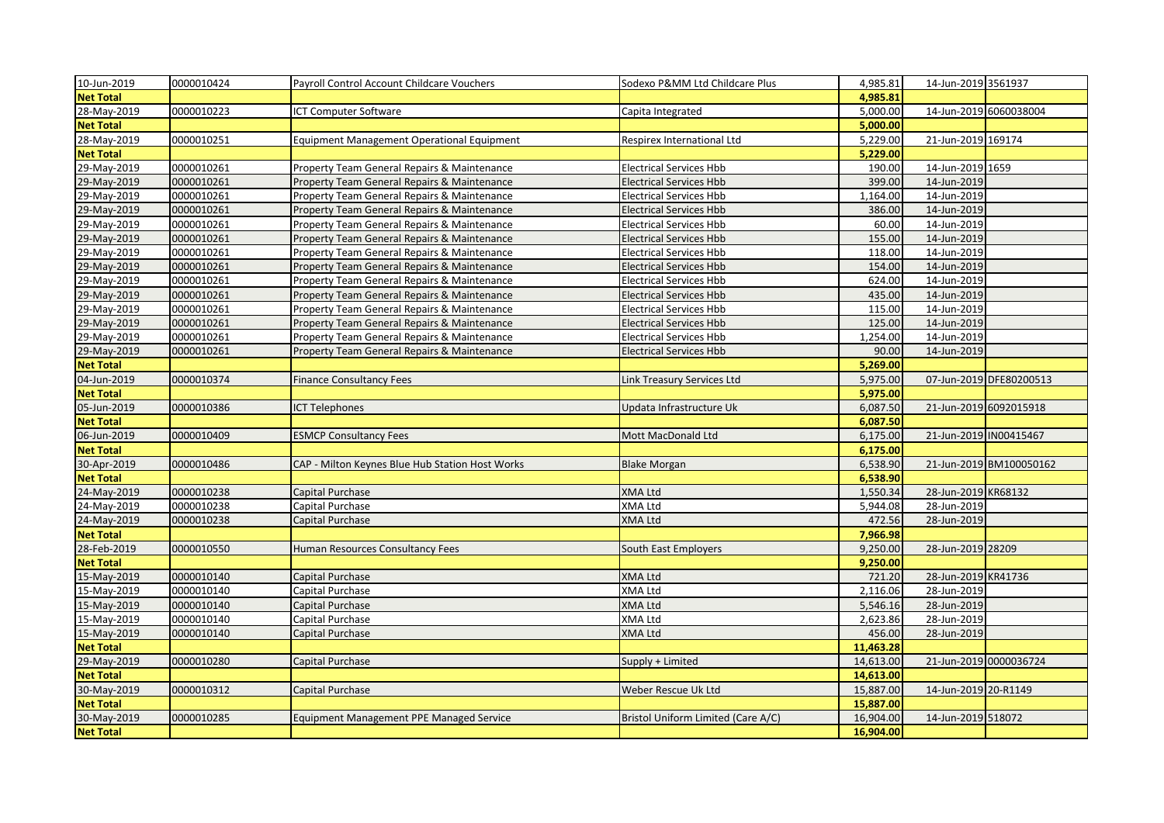| 10-Jun-2019      | 0000010424 | Payroll Control Account Childcare Vouchers        | Sodexo P&MM Ltd Childcare Plus     | 4,985.81  | 14-Jun-2019 3561937    |                         |
|------------------|------------|---------------------------------------------------|------------------------------------|-----------|------------------------|-------------------------|
| <b>Net Total</b> |            |                                                   |                                    | 4,985.81  |                        |                         |
| 28-May-2019      | 0000010223 | ICT Computer Software                             | Capita Integrated                  | 5,000.00  | 14-Jun-2019 6060038004 |                         |
| <b>Net Total</b> |            |                                                   |                                    | 5,000.00  |                        |                         |
| 28-May-2019      | 0000010251 | <b>Equipment Management Operational Equipment</b> | Respirex International Ltd         | 5,229.00  | 21-Jun-2019 169174     |                         |
| <b>Net Total</b> |            |                                                   |                                    | 5,229.00  |                        |                         |
| 29-May-2019      | 0000010261 | Property Team General Repairs & Maintenance       | <b>Electrical Services Hbb</b>     | 190.00    | 14-Jun-2019 1659       |                         |
| 29-May-2019      | 0000010261 | Property Team General Repairs & Maintenance       | <b>Electrical Services Hbb</b>     | 399.00    | 14-Jun-2019            |                         |
| 29-May-2019      | 0000010261 | Property Team General Repairs & Maintenance       | <b>Electrical Services Hbb</b>     | 1,164.00  | 14-Jun-2019            |                         |
| 29-May-2019      | 0000010261 | Property Team General Repairs & Maintenance       | <b>Electrical Services Hbb</b>     | 386.00    | 14-Jun-2019            |                         |
| 29-May-2019      | 0000010261 | Property Team General Repairs & Maintenance       | <b>Electrical Services Hbb</b>     | 60.00     | 14-Jun-2019            |                         |
| 29-May-2019      | 0000010261 | Property Team General Repairs & Maintenance       | <b>Electrical Services Hbb</b>     | 155.00    | 14-Jun-2019            |                         |
| 29-May-2019      | 0000010261 | Property Team General Repairs & Maintenance       | Electrical Services Hbb            | 118.00    | 14-Jun-2019            |                         |
| 29-May-2019      | 0000010261 | Property Team General Repairs & Maintenance       | <b>Electrical Services Hbb</b>     | 154.00    | 14-Jun-2019            |                         |
| 29-May-2019      | 0000010261 | Property Team General Repairs & Maintenance       | <b>Electrical Services Hbb</b>     | 624.00    | 14-Jun-2019            |                         |
| 29-May-2019      | 0000010261 | Property Team General Repairs & Maintenance       | <b>Electrical Services Hbb</b>     | 435.00    | 14-Jun-2019            |                         |
| 29-May-2019      | 0000010261 | Property Team General Repairs & Maintenance       | Electrical Services Hbb            | 115.00    | 14-Jun-2019            |                         |
| 29-May-2019      | 0000010261 | Property Team General Repairs & Maintenance       | <b>Electrical Services Hbb</b>     | 125.00    | 14-Jun-2019            |                         |
| 29-May-2019      | 0000010261 | Property Team General Repairs & Maintenance       | <b>Electrical Services Hbb</b>     | 1,254.00  | 14-Jun-2019            |                         |
| 29-May-2019      | 0000010261 | Property Team General Repairs & Maintenance       | <b>Electrical Services Hbb</b>     | 90.00     | 14-Jun-2019            |                         |
| <b>Net Total</b> |            |                                                   |                                    | 5,269.00  |                        |                         |
| 04-Jun-2019      | 0000010374 | <b>Finance Consultancy Fees</b>                   | Link Treasury Services Ltd         | 5,975.00  |                        | 07-Jun-2019 DFE80200513 |
| <b>Net Total</b> |            |                                                   |                                    | 5,975.00  |                        |                         |
| 05-Jun-2019      | 0000010386 | <b>ICT Telephones</b>                             | Updata Infrastructure Uk           | 6,087.50  | 21-Jun-2019 6092015918 |                         |
| <b>Net Total</b> |            |                                                   |                                    | 6,087.50  |                        |                         |
| 06-Jun-2019      | 0000010409 | <b>ESMCP Consultancy Fees</b>                     | Mott MacDonald Ltd                 | 6,175.00  | 21-Jun-2019 IN00415467 |                         |
| <b>Net Total</b> |            |                                                   |                                    | 6,175.00  |                        |                         |
| 30-Apr-2019      | 0000010486 | CAP - Milton Keynes Blue Hub Station Host Works   | <b>Blake Morgan</b>                | 6,538.90  |                        | 21-Jun-2019 BM100050162 |
| <b>Net Total</b> |            |                                                   |                                    | 6,538.90  |                        |                         |
| 24-May-2019      | 0000010238 | Capital Purchase                                  | <b>XMA Ltd</b>                     | 1,550.34  | 28-Jun-2019 KR68132    |                         |
| 24-May-2019      | 0000010238 | Capital Purchase                                  | XMA Ltd                            | 5,944.08  | 28-Jun-2019            |                         |
| 24-May-2019      | 0000010238 | Capital Purchase                                  | XMA Ltd                            | 472.56    | 28-Jun-2019            |                         |
| <b>Net Total</b> |            |                                                   |                                    | 7,966.98  |                        |                         |
| 28-Feb-2019      | 0000010550 | Human Resources Consultancy Fees                  | South East Employers               | 9,250.00  | 28-Jun-2019 28209      |                         |
| <b>Net Total</b> |            |                                                   |                                    | 9,250.00  |                        |                         |
| 15-May-2019      | 0000010140 | <b>Capital Purchase</b>                           | <b>XMA Ltd</b>                     | 721.20    | 28-Jun-2019 KR41736    |                         |
| 15-May-2019      | 0000010140 | Capital Purchase                                  | XMA Ltd                            | 2,116.06  | 28-Jun-2019            |                         |
| 15-May-2019      | 0000010140 | Capital Purchase                                  | <b>XMA Ltd</b>                     | 5,546.16  | 28-Jun-2019            |                         |
| 15-May-2019      | 0000010140 | Capital Purchase                                  | XMA Ltd                            | 2,623.86  | 28-Jun-2019            |                         |
| 15-May-2019      | 0000010140 | Capital Purchase                                  | XMA Ltd                            | 456.00    | 28-Jun-2019            |                         |
| <b>Net Total</b> |            |                                                   |                                    | 11.463.28 |                        |                         |
| 29-May-2019      | 0000010280 | Capital Purchase                                  | Supply + Limited                   | 14,613.00 | 21-Jun-2019 0000036724 |                         |
| <b>Net Total</b> |            |                                                   |                                    | 14,613.00 |                        |                         |
| 30-May-2019      | 0000010312 | Capital Purchase                                  | Weber Rescue Uk Ltd                | 15,887.00 | 14-Jun-2019 20-R1149   |                         |
| <b>Net Total</b> |            |                                                   |                                    | 15,887.00 |                        |                         |
| 30-May-2019      | 0000010285 | <b>Equipment Management PPE Managed Service</b>   | Bristol Uniform Limited (Care A/C) | 16,904.00 | 14-Jun-2019 518072     |                         |
| <b>Net Total</b> |            |                                                   |                                    | 16,904.00 |                        |                         |